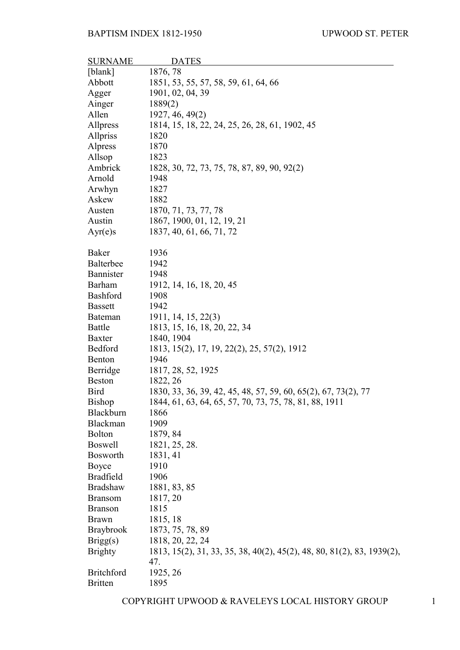| <b>SURNAME</b>                 | <b>DATES</b>                                                                  |
|--------------------------------|-------------------------------------------------------------------------------|
| [blank]                        | 1876, 78                                                                      |
| Abbott                         | 1851, 53, 55, 57, 58, 59, 61, 64, 66                                          |
| Agger                          | 1901, 02, 04, 39                                                              |
| Ainger                         | 1889(2)                                                                       |
| Allen                          | 1927, 46, 49(2)                                                               |
| Allpress                       | 1814, 15, 18, 22, 24, 25, 26, 28, 61, 1902, 45                                |
| Allpriss                       | 1820                                                                          |
| Alpress                        | 1870                                                                          |
| Allsop                         | 1823                                                                          |
| Ambrick                        | 1828, 30, 72, 73, 75, 78, 87, 89, 90, 92(2)                                   |
| Arnold                         | 1948                                                                          |
| Arwhyn                         | 1827                                                                          |
| Askew                          | 1882                                                                          |
| Austen                         | 1870, 71, 73, 77, 78                                                          |
| Austin                         | 1867, 1900, 01, 12, 19, 21                                                    |
| Ayr(e)s                        | 1837, 40, 61, 66, 71, 72                                                      |
| <b>Baker</b>                   |                                                                               |
| Balterbee                      | 1936<br>1942                                                                  |
| Bannister                      | 1948                                                                          |
| Barham                         | 1912, 14, 16, 18, 20, 45                                                      |
| <b>Bashford</b>                | 1908                                                                          |
| <b>Bassett</b>                 | 1942                                                                          |
| <b>Bateman</b>                 | 1911, 14, 15, 22(3)                                                           |
| <b>Battle</b>                  |                                                                               |
| <b>Baxter</b>                  | 1813, 15, 16, 18, 20, 22, 34                                                  |
| Bedford                        | 1840, 1904<br>1813, 15(2), 17, 19, 22(2), 25, 57(2), 1912                     |
| Benton                         | 1946                                                                          |
| Berridge                       | 1817, 28, 52, 1925                                                            |
| <b>Beston</b>                  | 1822, 26                                                                      |
| <b>Bird</b>                    | 1830, 33, 36, 39, 42, 45, 48, 57, 59, 60, 65(2), 67, 73(2), 77                |
| <b>Bishop</b>                  |                                                                               |
| Blackburn                      | 1844, 61, 63, 64, 65, 57, 70, 73, 75, 78, 81, 88, 1911<br>1866                |
| Blackman                       | 1909                                                                          |
| <b>Bolton</b>                  | 1879, 84                                                                      |
| <b>Boswell</b>                 | 1821, 25, 28.                                                                 |
| <b>Bosworth</b>                | 1831, 41                                                                      |
| Boyce                          | 1910                                                                          |
| <b>Bradfield</b>               | 1906                                                                          |
| <b>Bradshaw</b>                | 1881, 83, 85                                                                  |
| <b>Bransom</b>                 |                                                                               |
|                                | 1817, 20                                                                      |
| <b>Branson</b><br><b>Brawn</b> | 1815<br>1815, 18                                                              |
| <b>Braybrook</b>               | 1873, 75, 78, 89                                                              |
|                                | 1818, 20, 22, 24                                                              |
| Brigg(s)                       |                                                                               |
| <b>Brighty</b>                 | 1813, 15(2), 31, 33, 35, 38, 40(2), 45(2), 48, 80, 81(2), 83, 1939(2),<br>47. |
| <b>Britchford</b>              | 1925, 26                                                                      |
| <b>Britten</b>                 | 1895                                                                          |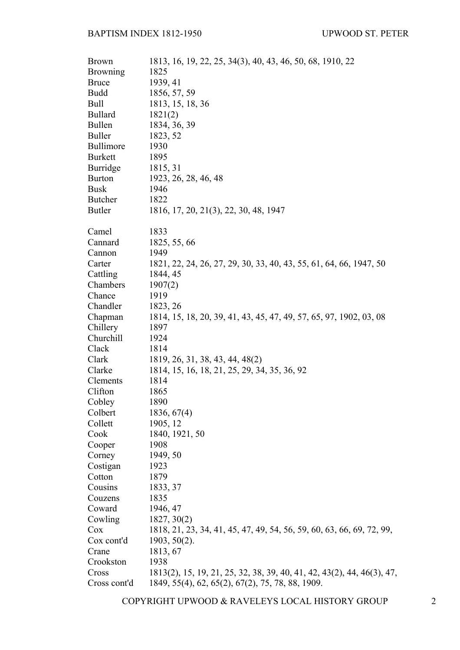| <b>Brown</b>     | 1813, 16, 19, 22, 25, 34(3), 40, 43, 46, 50, 68, 1910, 22              |
|------------------|------------------------------------------------------------------------|
| <b>Browning</b>  | 1825                                                                   |
| <b>Bruce</b>     | 1939, 41                                                               |
| <b>Budd</b>      | 1856, 57, 59                                                           |
| Bull             | 1813, 15, 18, 36                                                       |
| <b>Bullard</b>   | 1821(2)                                                                |
| <b>Bullen</b>    | 1834, 36, 39                                                           |
| <b>Buller</b>    | 1823, 52                                                               |
| <b>Bullimore</b> | 1930                                                                   |
| <b>Burkett</b>   | 1895                                                                   |
| Burridge         | 1815, 31                                                               |
| <b>Burton</b>    | 1923, 26, 28, 46, 48                                                   |
| <b>Busk</b>      | 1946                                                                   |
| <b>Butcher</b>   | 1822                                                                   |
| <b>Butler</b>    | 1816, 17, 20, 21(3), 22, 30, 48, 1947                                  |
| Camel            | 1833                                                                   |
| Cannard          | 1825, 55, 66                                                           |
| Cannon           | 1949                                                                   |
| Carter           | 1821, 22, 24, 26, 27, 29, 30, 33, 40, 43, 55, 61, 64, 66, 1947, 50     |
| Cattling         | 1844, 45                                                               |
| Chambers         | 1907(2)                                                                |
| Chance           | 1919                                                                   |
| Chandler         | 1823, 26                                                               |
| Chapman          | 1814, 15, 18, 20, 39, 41, 43, 45, 47, 49, 57, 65, 97, 1902, 03, 08     |
| Chillery         | 1897                                                                   |
| Churchill        | 1924                                                                   |
| Clack            | 1814                                                                   |
| Clark            | 1819, 26, 31, 38, 43, 44, 48(2)                                        |
| Clarke           | 1814, 15, 16, 18, 21, 25, 29, 34, 35, 36, 92                           |
| Clements         | 1814                                                                   |
| Clifton          | 1865                                                                   |
| Cobley           | 1890                                                                   |
| Colbert          | 1836, 67(4)                                                            |
| Collett          | 1905, 12                                                               |
| Cook             | 1840, 1921, 50                                                         |
| Cooper           | 1908                                                                   |
| Corney           | 1949, 50                                                               |
| Costigan         | 1923                                                                   |
| Cotton           | 1879                                                                   |
| Cousins          | 1833, 37                                                               |
| Couzens          | 1835                                                                   |
| Coward           | 1946, 47                                                               |
| Cowling          | 1827, 30(2)                                                            |
| Cox              | 1818, 21, 23, 34, 41, 45, 47, 49, 54, 56, 59, 60, 63, 66, 69, 72, 99,  |
| Cox cont'd       | $1903, 50(2)$ .                                                        |
| Crane            | 1813, 67                                                               |
| Crookston        | 1938                                                                   |
| Cross            | 1813(2), 15, 19, 21, 25, 32, 38, 39, 40, 41, 42, 43(2), 44, 46(3), 47, |
| Cross cont'd     | 1849, 55(4), 62, 65(2), 67(2), 75, 78, 88, 1909.                       |

COPYRIGHT UPWOOD & RAVELEYS LOCAL HISTORY GROUP 2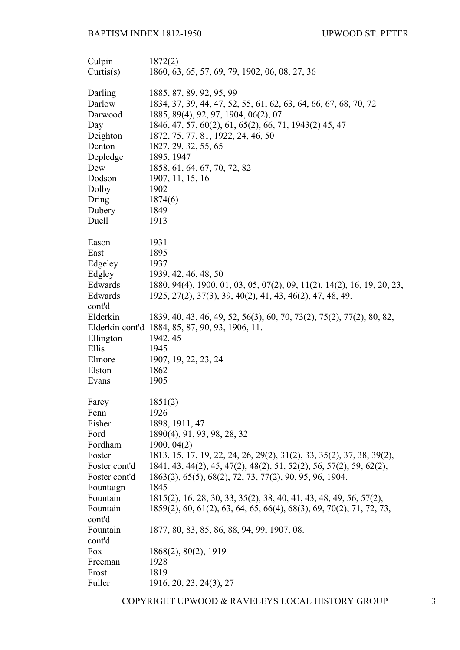| Culpin             | 1872(2)                                                                 |
|--------------------|-------------------------------------------------------------------------|
| Curits(s)          | 1860, 63, 65, 57, 69, 79, 1902, 06, 08, 27, 36                          |
|                    |                                                                         |
| Darling            | 1885, 87, 89, 92, 95, 99                                                |
| Darlow             | 1834, 37, 39, 44, 47, 52, 55, 61, 62, 63, 64, 66, 67, 68, 70, 72        |
| Darwood            | 1885, 89(4), 92, 97, 1904, 06(2), 07                                    |
| Day                | 1846, 47, 57, 60(2), 61, 65(2), 66, 71, 1943(2) 45, 47                  |
| Deighton           | 1872, 75, 77, 81, 1922, 24, 46, 50                                      |
| Denton             | 1827, 29, 32, 55, 65                                                    |
| Depledge           | 1895, 1947                                                              |
| Dew                | 1858, 61, 64, 67, 70, 72, 82                                            |
| Dodson             | 1907, 11, 15, 16                                                        |
| Dolby              | 1902                                                                    |
| Dring              | 1874(6)                                                                 |
| Dubery             | 1849                                                                    |
| Duell              | 1913                                                                    |
|                    |                                                                         |
| Eason<br>East      | 1931<br>1895                                                            |
| Edgeley            | 1937                                                                    |
| Edgley             | 1939, 42, 46, 48, 50                                                    |
| Edwards            | 1880, 94(4), 1900, 01, 03, 05, 07(2), 09, 11(2), 14(2), 16, 19, 20, 23, |
| Edwards            | 1925, 27(2), 37(3), 39, 40(2), 41, 43, 46(2), 47, 48, 49.               |
|                    |                                                                         |
| cont'd<br>Elderkin |                                                                         |
|                    | 1839, 40, 43, 46, 49, 52, 56(3), 60, 70, 73(2), 75(2), 77(2), 80, 82,   |
|                    | Elderkin cont'd 1884, 85, 87, 90, 93, 1906, 11.                         |
| Ellington<br>Ellis | 1942, 45<br>1945                                                        |
|                    |                                                                         |
| Elmore<br>Elston   | 1907, 19, 22, 23, 24<br>1862                                            |
| Evans              | 1905                                                                    |
|                    |                                                                         |
| Farey              | 1851(2)                                                                 |
| Fenn               | 1926                                                                    |
| Fisher             | 1898, 1911, 47                                                          |
| Ford               | 1890(4), 91, 93, 98, 28, 32                                             |
| Fordham            | 1900, 04(2)                                                             |
| Foster             | 1813, 15, 17, 19, 22, 24, 26, 29(2), 31(2), 33, 35(2), 37, 38, 39(2),   |
| Foster cont'd      | 1841, 43, 44(2), 45, 47(2), 48(2), 51, 52(2), 56, 57(2), 59, 62(2),     |
| Foster cont'd      | 1863(2), 65(5), 68(2), 72, 73, 77(2), 90, 95, 96, 1904.                 |
| Fountaign          | 1845                                                                    |
| Fountain           | 1815(2), 16, 28, 30, 33, 35(2), 38, 40, 41, 43, 48, 49, 56, 57(2),      |
| Fountain           | 1859(2), 60, 61(2), 63, 64, 65, 66(4), 68(3), 69, 70(2), 71, 72, 73,    |
| cont'd             |                                                                         |
| Fountain           | 1877, 80, 83, 85, 86, 88, 94, 99, 1907, 08.                             |
| cont'd             |                                                                         |
| Fox                | 1868(2), 80(2), 1919                                                    |
| Freeman            | 1928                                                                    |
| Frost              | 1819                                                                    |
| Fuller             | 1916, 20, 23, 24(3), 27                                                 |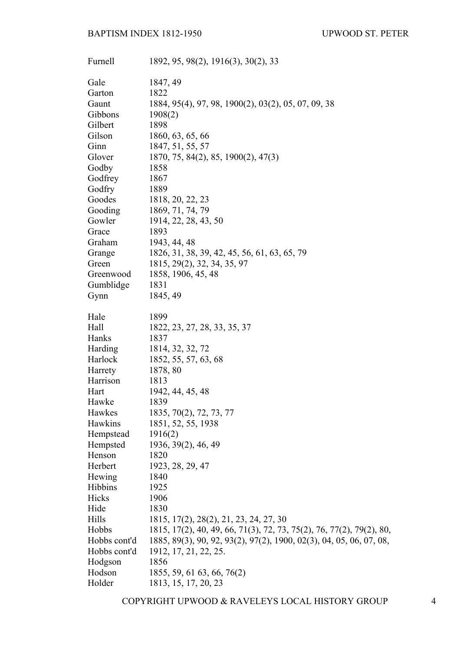| Furnell        | 1892, 95, 98(2), 1916(3), 30(2), 33                                  |
|----------------|----------------------------------------------------------------------|
| Gale           | 1847, 49                                                             |
| Garton         | 1822                                                                 |
| Gaunt          | 1884, 95(4), 97, 98, 1900(2), 03(2), 05, 07, 09, 38                  |
| Gibbons        | 1908(2)                                                              |
| Gilbert        | 1898                                                                 |
| Gilson         | 1860, 63, 65, 66                                                     |
| Ginn           | 1847, 51, 55, 57                                                     |
| Glover         | 1870, 75, 84(2), 85, 1900(2), 47(3)                                  |
| Godby          | 1858                                                                 |
| Godfrey        | 1867                                                                 |
| Godfry         | 1889                                                                 |
| Goodes         | 1818, 20, 22, 23                                                     |
| Gooding        | 1869, 71, 74, 79                                                     |
| Gowler         | 1914, 22, 28, 43, 50                                                 |
| Grace          | 1893                                                                 |
| Graham         | 1943, 44, 48                                                         |
| Grange         | 1826, 31, 38, 39, 42, 45, 56, 61, 63, 65, 79                         |
| Green          | 1815, 29(2), 32, 34, 35, 97                                          |
| Greenwood      | 1858, 1906, 45, 48                                                   |
| Gumblidge      | 1831                                                                 |
| Gynn           | 1845, 49                                                             |
| Hale           | 1899                                                                 |
| Hall           | 1822, 23, 27, 28, 33, 35, 37                                         |
| Hanks          | 1837                                                                 |
| <b>Harding</b> | 1814, 32, 32, 72                                                     |
| Harlock        | 1852, 55, 57, 63, 68                                                 |
| Harrety        | 1878, 80                                                             |
| Harrison       | 1813                                                                 |
| Hart           | 1942, 44, 45, 48                                                     |
| Hawke          | 1839                                                                 |
| Hawkes         | 1835, 70(2), 72, 73, 77                                              |
| Hawkins        | 1851, 52, 55, 1938                                                   |
| Hempstead      | 1916(2)                                                              |
| Hempsted       | 1936, 39(2), 46, 49                                                  |
| Henson         | 1820                                                                 |
| Herbert        | 1923, 28, 29, 47                                                     |
| Hewing         | 1840                                                                 |
| <b>Hibbins</b> | 1925                                                                 |
| Hicks          | 1906                                                                 |
| Hide           | 1830                                                                 |
| Hills          | 1815, 17(2), 28(2), 21, 23, 24, 27, 30                               |
| Hobbs          | 1815, 17(2), 40, 49, 66, 71(3), 72, 73, 75(2), 76, 77(2), 79(2), 80, |
| Hobbs cont'd   | 1885, 89(3), 90, 92, 93(2), 97(2), 1900, 02(3), 04, 05, 06, 07, 08,  |
| Hobbs cont'd   | 1912, 17, 21, 22, 25.                                                |
| Hodgson        | 1856                                                                 |
| Hodson         | 1855, 59, 61 63, 66, 76(2)                                           |
| Holder         | 1813, 15, 17, 20, 23                                                 |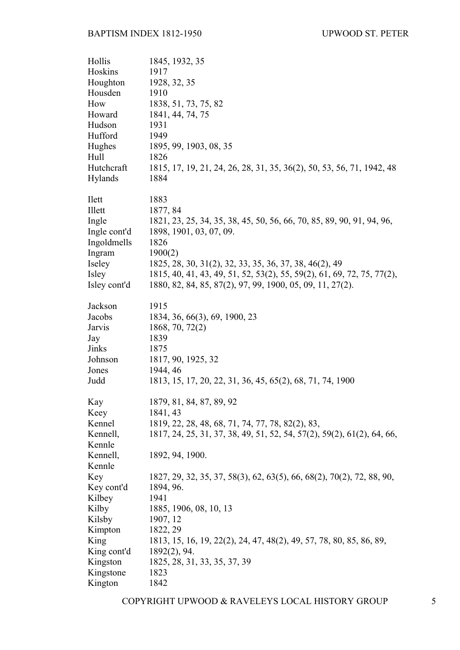| Hollis        | 1845, 1932, 35                                                         |
|---------------|------------------------------------------------------------------------|
| Hoskins       | 1917                                                                   |
| Houghton      | 1928, 32, 35                                                           |
| Housden       | 1910                                                                   |
| How           | 1838, 51, 73, 75, 82                                                   |
| Howard        | 1841, 44, 74, 75                                                       |
| Hudson        | 1931                                                                   |
| Hufford       | 1949                                                                   |
| Hughes        | 1895, 99, 1903, 08, 35                                                 |
| Hull          | 1826                                                                   |
| Hutchcraft    | 1815, 17, 19, 21, 24, 26, 28, 31, 35, 36(2), 50, 53, 56, 71, 1942, 48  |
| Hylands       | 1884                                                                   |
|               |                                                                        |
| <b>I</b> lett | 1883                                                                   |
| Illett        | 1877, 84                                                               |
| Ingle         | 1821, 23, 25, 34, 35, 38, 45, 50, 56, 66, 70, 85, 89, 90, 91, 94, 96,  |
| Ingle cont'd  | 1898, 1901, 03, 07, 09.                                                |
| Ingoldmells   | 1826                                                                   |
|               |                                                                        |
| Ingram        | 1900(2)                                                                |
| Iseley        | 1825, 28, 30, 31(2), 32, 33, 35, 36, 37, 38, 46(2), 49                 |
| Isley         | 1815, 40, 41, 43, 49, 51, 52, 53(2), 55, 59(2), 61, 69, 72, 75, 77(2), |
| Isley cont'd  | 1880, 82, 84, 85, 87(2), 97, 99, 1900, 05, 09, 11, 27(2).              |
|               |                                                                        |
| Jackson       | 1915                                                                   |
| Jacobs        | 1834, 36, 66(3), 69, 1900, 23                                          |
| Jarvis        | 1868, 70, 72(2)                                                        |
| Jay           | 1839                                                                   |
| Jinks         | 1875                                                                   |
| Johnson       | 1817, 90, 1925, 32                                                     |
| Jones         | 1944, 46                                                               |
| Judd          | 1813, 15, 17, 20, 22, 31, 36, 45, 65(2), 68, 71, 74, 1900              |
|               |                                                                        |
| Kay           | 1879, 81, 84, 87, 89, 92                                               |
| Keey          | 1841, 43                                                               |
| Kennel        | 1819, 22, 28, 48, 68, 71, 74, 77, 78, 82(2), 83,                       |
| Kennell,      | 1817, 24, 25, 31, 37, 38, 49, 51, 52, 54, 57(2), 59(2), 61(2), 64, 66, |
| Kennle        |                                                                        |
| Kennell,      | 1892, 94, 1900.                                                        |
| Kennle        |                                                                        |
| Key           | 1827, 29, 32, 35, 37, 58(3), 62, 63(5), 66, 68(2), 70(2), 72, 88, 90,  |
| Key cont'd    | 1894, 96.                                                              |
| Kilbey        | 1941                                                                   |
| Kilby         | 1885, 1906, 08, 10, 13                                                 |
| Kilsby        | 1907, 12                                                               |
| Kimpton       | 1822, 29                                                               |
| King          | 1813, 15, 16, 19, 22(2), 24, 47, 48(2), 49, 57, 78, 80, 85, 86, 89,    |
| King cont'd   | 1892(2), 94.                                                           |
| Kingston      | 1825, 28, 31, 33, 35, 37, 39                                           |
| Kingstone     | 1823                                                                   |
| Kington       | 1842                                                                   |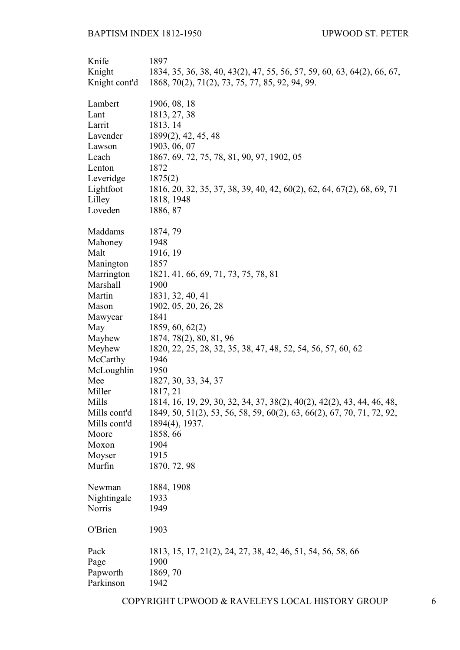| Knife         | 1897                                                                    |
|---------------|-------------------------------------------------------------------------|
| Knight        | 1834, 35, 36, 38, 40, 43(2), 47, 55, 56, 57, 59, 60, 63, 64(2), 66, 67, |
| Knight cont'd | 1868, 70(2), 71(2), 73, 75, 77, 85, 92, 94, 99.                         |
|               |                                                                         |
| Lambert       | 1906, 08, 18                                                            |
| Lant          | 1813, 27, 38                                                            |
| Larrit        | 1813, 14                                                                |
| Lavender      | 1899(2), 42, 45, 48                                                     |
| Lawson        | 1903, 06, 07                                                            |
| Leach         | 1867, 69, 72, 75, 78, 81, 90, 97, 1902, 05                              |
| Lenton        | 1872                                                                    |
| Leveridge     | 1875(2)                                                                 |
| Lightfoot     | 1816, 20, 32, 35, 37, 38, 39, 40, 42, 60(2), 62, 64, 67(2), 68, 69, 71  |
| Lilley        | 1818, 1948                                                              |
| Loveden       | 1886, 87                                                                |
| Maddams       | 1874, 79                                                                |
| Mahoney       | 1948                                                                    |
| Malt          | 1916, 19                                                                |
| Manington     | 1857                                                                    |
| Marrington    | 1821, 41, 66, 69, 71, 73, 75, 78, 81                                    |
| Marshall      | 1900                                                                    |
| Martin        | 1831, 32, 40, 41                                                        |
| Mason         | 1902, 05, 20, 26, 28                                                    |
| Mawyear       | 1841                                                                    |
| May           | 1859, 60, 62(2)                                                         |
| Mayhew        | 1874, 78(2), 80, 81, 96                                                 |
| Meyhew        | 1820, 22, 25, 28, 32, 35, 38, 47, 48, 52, 54, 56, 57, 60, 62            |
| McCarthy      | 1946                                                                    |
| McLoughlin    | 1950                                                                    |
| Mee           | 1827, 30, 33, 34, 37                                                    |
| Miller        | 1817, 21                                                                |
| Mills         | 1814, 16, 19, 29, 30, 32, 34, 37, 38(2), 40(2), 42(2), 43, 44, 46, 48,  |
| Mills cont'd  | 1849, 50, 51(2), 53, 56, 58, 59, 60(2), 63, 66(2), 67, 70, 71, 72, 92,  |
| Mills cont'd  | 1894(4), 1937.                                                          |
| Moore         | 1858, 66                                                                |
| Moxon         | 1904                                                                    |
| Moyser        | 1915                                                                    |
| Murfin        | 1870, 72, 98                                                            |
| Newman        | 1884, 1908                                                              |
| Nightingale   | 1933                                                                    |
| Norris        | 1949                                                                    |
| O'Brien       | 1903                                                                    |
| Pack          | 1813, 15, 17, 21(2), 24, 27, 38, 42, 46, 51, 54, 56, 58, 66             |
| Page          | 1900                                                                    |
| Papworth      | 1869, 70                                                                |
| Parkinson     | 1942                                                                    |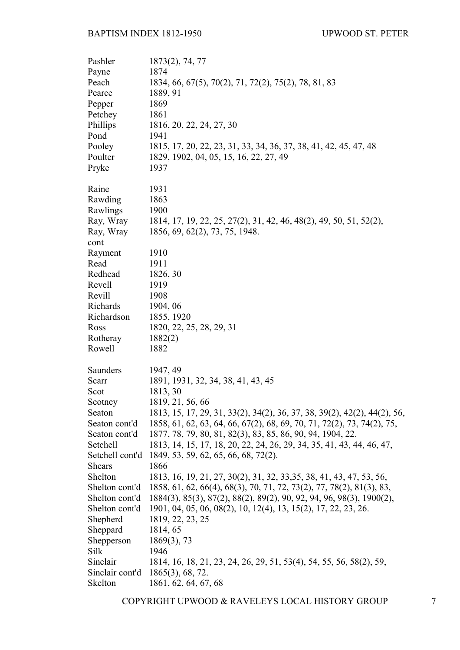| Pashler         | $1873(2)$ , 74, 77                                                       |
|-----------------|--------------------------------------------------------------------------|
| Payne           | 1874                                                                     |
| Peach           | 1834, 66, 67(5), 70(2), 71, 72(2), 75(2), 78, 81, 83                     |
| Pearce          | 1889, 91                                                                 |
| Pepper          | 1869                                                                     |
| Petchey         | 1861                                                                     |
| Phillips        | 1816, 20, 22, 24, 27, 30                                                 |
| Pond            | 1941                                                                     |
| Pooley          | 1815, 17, 20, 22, 23, 31, 33, 34, 36, 37, 38, 41, 42, 45, 47, 48         |
| Poulter         | 1829, 1902, 04, 05, 15, 16, 22, 27, 49                                   |
| Pryke           | 1937                                                                     |
|                 |                                                                          |
| Raine           | 1931                                                                     |
| Rawding         | 1863                                                                     |
| Rawlings        | 1900                                                                     |
| Ray, Wray       | 1814, 17, 19, 22, 25, 27(2), 31, 42, 46, 48(2), 49, 50, 51, 52(2),       |
|                 | 1856, 69, 62(2), 73, 75, 1948.                                           |
| Ray, Wray       |                                                                          |
| cont            | 1910                                                                     |
| Rayment<br>Read | 1911                                                                     |
| Redhead         |                                                                          |
|                 | 1826, 30                                                                 |
| Revell          | 1919                                                                     |
| Revill          | 1908                                                                     |
| Richards        | 1904, 06                                                                 |
| Richardson      | 1855, 1920                                                               |
| Ross            | 1820, 22, 25, 28, 29, 31                                                 |
| Rotheray        | 1882(2)                                                                  |
| Rowell          | 1882                                                                     |
| Saunders        | 1947, 49                                                                 |
| Scarr           | 1891, 1931, 32, 34, 38, 41, 43, 45                                       |
| Scot            | 1813, 30                                                                 |
| Scotney         | 1819, 21, 56, 66                                                         |
|                 |                                                                          |
| Seaton          | 1813, 15, 17, 29, 31, 33(2), 34(2), 36, 37, 38, 39(2), 42(2), 44(2), 56, |
| Seaton cont'd   | 1858, 61, 62, 63, 64, 66, 67(2), 68, 69, 70, 71, 72(2), 73, 74(2), 75,   |
| Seaton cont'd   | 1877, 78, 79, 80, 81, 82(3), 83, 85, 86, 90, 94, 1904, 22.               |
| Setchell        | 1813, 14, 15, 17, 18, 20, 22, 24, 26, 29, 34, 35, 41, 43, 44, 46, 47,    |
| Setchell cont'd | 1849, 53, 59, 62, 65, 66, 68, 72(2).                                     |
| <b>Shears</b>   | 1866                                                                     |
| Shelton         | 1813, 16, 19, 21, 27, 30(2), 31, 32, 33, 35, 38, 41, 43, 47, 53, 56,     |
| Shelton cont'd  | 1858, 61, 62, 66(4), 68(3), 70, 71, 72, 73(2), 77, 78(2), 81(3), 83,     |
| Shelton cont'd  | 1884(3), 85(3), 87(2), 88(2), 89(2), 90, 92, 94, 96, 98(3), 1900(2),     |
| Shelton cont'd  | 1901, 04, 05, 06, 08(2), 10, 12(4), 13, 15(2), 17, 22, 23, 26.           |
| Shepherd        | 1819, 22, 23, 25                                                         |
| Sheppard        | 1814, 65                                                                 |
| Shepperson      | $1869(3)$ , 73                                                           |
| Silk            | 1946                                                                     |
| Sinclair        | 1814, 16, 18, 21, 23, 24, 26, 29, 51, 53(4), 54, 55, 56, 58(2), 59,      |
| Sinclair cont'd | $1865(3)$ , 68, 72.                                                      |
| Skelton         | 1861, 62, 64, 67, 68                                                     |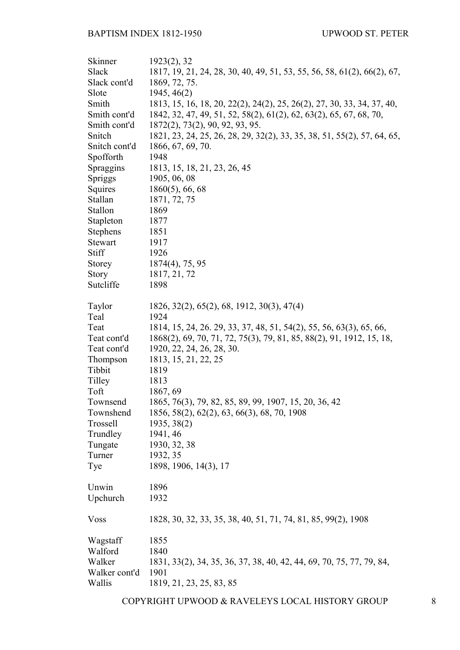| Skinner       | 1923(2), 32                                                             |
|---------------|-------------------------------------------------------------------------|
| Slack         | 1817, 19, 21, 24, 28, 30, 40, 49, 51, 53, 55, 56, 58, 61(2), 66(2), 67, |
| Slack cont'd  | 1869, 72, 75.                                                           |
| Slote         | 1945, 46(2)                                                             |
| Smith         | 1813, 15, 16, 18, 20, 22(2), 24(2), 25, 26(2), 27, 30, 33, 34, 37, 40,  |
| Smith cont'd  | 1842, 32, 47, 49, 51, 52, 58(2), 61(2), 62, 63(2), 65, 67, 68, 70,      |
| Smith cont'd  | 1872(2), 73(2), 90, 92, 93, 95.                                         |
| Snitch        | 1821, 23, 24, 25, 26, 28, 29, 32(2), 33, 35, 38, 51, 55(2), 57, 64, 65, |
| Snitch cont'd | 1866, 67, 69, 70.                                                       |
| Spofforth     | 1948                                                                    |
| Spraggins     | 1813, 15, 18, 21, 23, 26, 45                                            |
| Spriggs       | 1905, 06, 08                                                            |
| Squires       | $1860(5)$ , 66, 68                                                      |
| Stallan       | 1871, 72, 75                                                            |
| Stallon       | 1869                                                                    |
| Stapleton     | 1877                                                                    |
| Stephens      | 1851                                                                    |
| Stewart       | 1917                                                                    |
| Stiff         | 1926                                                                    |
| <b>Storey</b> | $1874(4)$ , 75, 95                                                      |
| <b>Story</b>  | 1817, 21, 72                                                            |
| Sutcliffe     | 1898                                                                    |
|               |                                                                         |
| Taylor        | 1826, 32(2), 65(2), 68, 1912, 30(3), 47(4)                              |
| Teal          | 1924                                                                    |
| Teat          | 1814, 15, 24, 26, 29, 33, 37, 48, 51, 54(2), 55, 56, 63(3), 65, 66,     |
| Teat cont'd   | 1868(2), 69, 70, 71, 72, 75(3), 79, 81, 85, 88(2), 91, 1912, 15, 18,    |
| Teat cont'd   | 1920, 22, 24, 26, 28, 30.                                               |
| Thompson      | 1813, 15, 21, 22, 25                                                    |
| Tibbit        | 1819                                                                    |
| Tilley        | 1813                                                                    |
| Toft          | 1867, 69                                                                |
| Townsend      | 1865, 76(3), 79, 82, 85, 89, 99, 1907, 15, 20, 36, 42                   |
| Townshend     | 1856, 58(2), 62(2), 63, 66(3), 68, 70, 1908                             |
| Trossell      | 1935, 38(2)                                                             |
| Trundley      | 1941, 46                                                                |
|               |                                                                         |
| Tungate       | 1930, 32, 38                                                            |
| Turner        | 1932, 35                                                                |
| Tye           | 1898, 1906, 14(3), 17                                                   |
|               |                                                                         |
| Unwin         | 1896                                                                    |
| Upchurch      | 1932                                                                    |
| <b>Voss</b>   | 1828, 30, 32, 33, 35, 38, 40, 51, 71, 74, 81, 85, 99(2), 1908           |
|               |                                                                         |
| Wagstaff      | 1855                                                                    |
| Walford       | 1840                                                                    |
| Walker        | 1831, 33(2), 34, 35, 36, 37, 38, 40, 42, 44, 69, 70, 75, 77, 79, 84,    |
| Walker cont'd | 1901                                                                    |
| Wallis        | 1819, 21, 23, 25, 83, 85                                                |